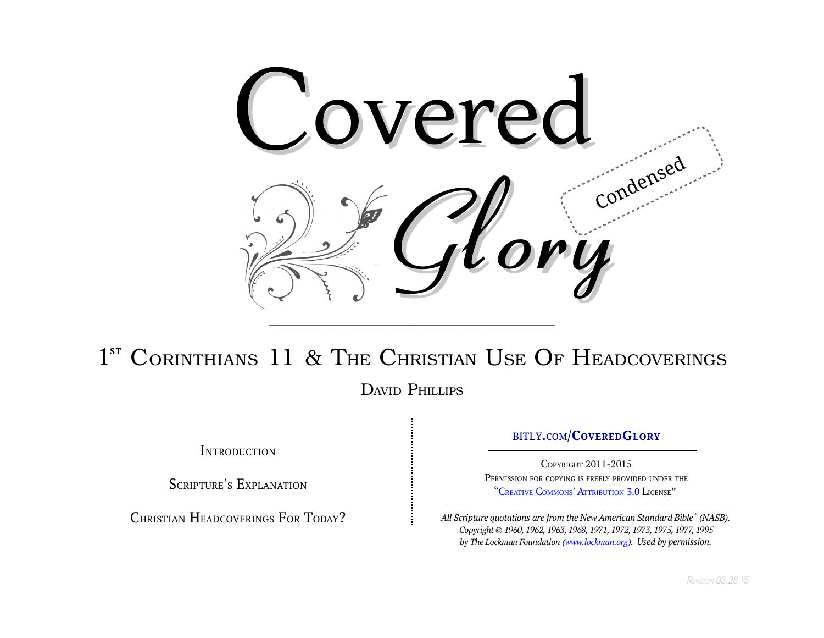

# 1<sup>ST</sup> CORINTHIANS 11 & THE CHRISTIAN USE OF HEADCOVERINGS

DAVID PHILLIPS

**INTRODUCTION** 

SCRIPTURE'S EXPLANATION

CHRISTIAN HEADCOVERINGS FOR TODAY?

#### [BITLY](http://www.bit.ly/CoveredGlory)[.](http://www.bit.ly/CoveredGlory)[COM](http://www.bit.ly/CoveredGlory)/**[C](http://www.bit.ly/CoveredGlory)[OVERED](http://www.bit.ly/CoveredGlory)[G](http://www.bit.ly/CoveredGlory)[LORY](http://www.bit.ly/CoveredGlory)**

COPYRIGHT 2011-2015 PERMISSION FOR COPYING IS FREELY PROVIDED UNDER THE "CREATIVE C[OMMONS](http://mirrors.creativecommons.org/getcreative/)' A[TTRIBUTION](http://creativecommons.org/licenses/by/3.0/) [3.0](http://creativecommons.org/licenses/by/3.0/) LICENSE"

*All Scripture quotations are from the New American Standard Bible® (NASB). Copyright © 1960, 1962, 1963, 1968, 1971, 1972, 1973, 1975, 1977, 1995 by The Lockman Foundation [\(www.lockman.org\)](http://www.lockman.org/). Used by permission.*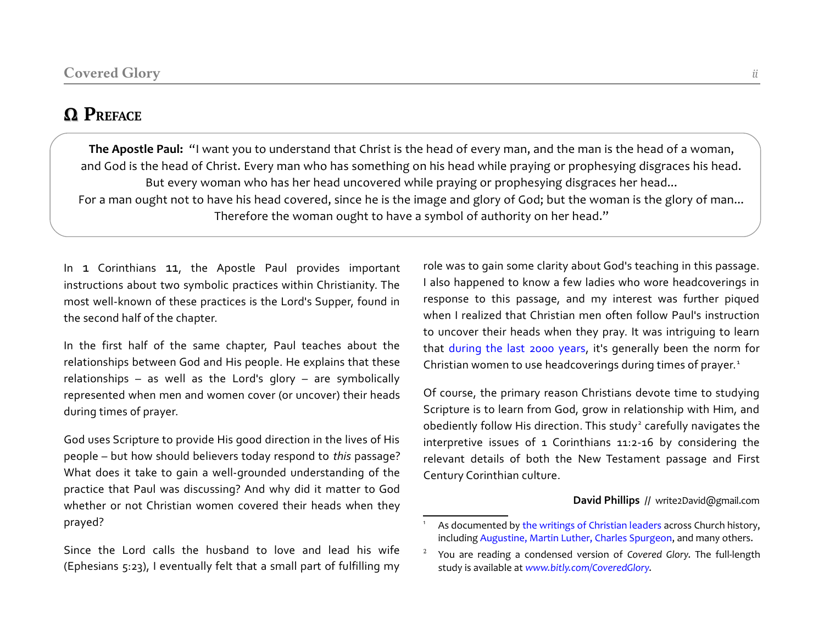## **Ω PREFACE**

**The Apostle Paul:** "I want you to understand that Christ is the head of every man, and the man is the head of a woman, and God is the head of Christ. Every man who has something on his head while praying or prophesying disgraces his head. But every woman who has her head uncovered while praying or prophesying disgraces her head... For a man ought not to have his head covered, since he is the image and glory of God; but the woman is the glory of man... Therefore the woman ought to have a symbol of authority on her head."

In 1 Corinthians 11, the Apostle Paul provides important instructions about two symbolic practices within Christianity. The most well-known of these practices is the Lord's Supper, found in the second half of the chapter.

In the first half of the same chapter, Paul teaches about the relationships between God and His people. He explains that these relationships – as well as the Lord's glory – are symbolically represented when men and women cover (or uncover) their heads during times of prayer.

God uses Scripture to provide His good direction in the lives of His people – but how should believers today respond to *this* passage? What does it take to gain a well-grounded understanding of the practice that Paul was discussing? And why did it matter to God whether or not Christian women covered their heads when they prayed?

Since the Lord calls the husband to love and lead his wife (Ephesians 5:23), I eventually felt that a small part of fulfilling my

role was to gain some clarity about God's teaching in this passage. I also happened to know a few ladies who wore headcoverings in response to this passage, and my interest was further piqued when I realized that Christian men often follow Paul's instruction to uncover their heads when they pray. It was intriguing to learn that [during the last 2000 years,](http://www.amazon.com/Headcovering-Throughout-Christian-History-Corinthians-ebook/dp/B00MPAMJ2A/) it's generally been the norm for Christian women to use headcoverings during times of prayer.<sup>[1](#page-1-0)</sup>

Of course, the primary reason Christians devote time to studying Scripture is to learn from God, grow in relationship with Him, and obediently follow His direction. This study<sup>[2](#page-1-1)</sup> carefully navigates the interpretive issues of 1 Corinthians 11:2-16 by considering the relevant details of both the New Testament passage and First Century Corinthian culture.

#### **David Phillips** // write2David@gmail.com

<span id="page-1-0"></span>As documented by [the writings of Christian leaders a](http://www.amazon.com/Headcovering-Throughout-Christian-History-Corinthians-ebook/dp/B00MPAMJ2A/)cross Church history, including [Augustine, Martin Luther, Charles Spurgeon,](http://write2david.github.io/Infographic.png) and many others.

<span id="page-1-1"></span><sup>2</sup> You are reading a condensed version of *Covered Glory*. The full-length study is available at *[www.bitly.com/CoveredGlory](http://www.bit.ly/CoveredGlory)*.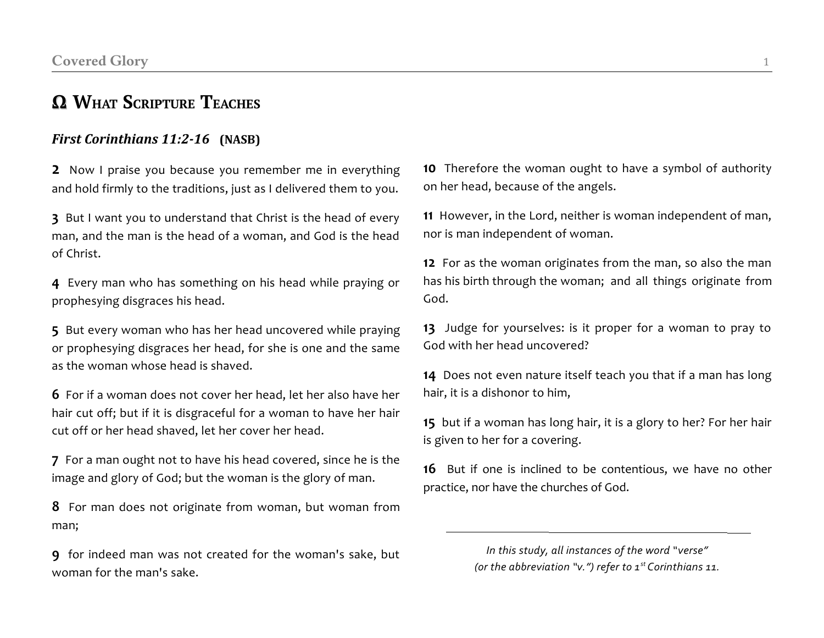## **Ω WHAT SCRIPTURE TEACHES**

### *First Corinthians 11:2-16* **(NASB)**

**2** Now I praise you because you remember me in everything and hold firmly to the traditions, just as I delivered them to you.

**3** But I want you to understand that Christ is the head of every man, and the man is the head of a woman, and God is the head of Christ.

**4** Every man who has something on his head while praying or prophesying disgraces his head.

**5** But every woman who has her head uncovered while praying or prophesying disgraces her head, for she is one and the same as the woman whose head is shaved.

**6** For if a woman does not cover her head, let her also have her hair cut off; but if it is disgraceful for a woman to have her hair cut off or her head shaved, let her cover her head.

**7** For a man ought not to have his head covered, since he is the image and glory of God; but the woman is the glory of man.

**8** For man does not originate from woman, but woman from man;

**9** for indeed man was not created for the woman's sake, but woman for the man's sake.

**10** Therefore the woman ought to have a symbol of authority on her head, because of the angels.

**11** However, in the Lord, neither is woman independent of man, nor is man independent of woman.

**12** For as the woman originates from the man, so also the man has his birth through the woman; and all things originate from God.

**13** Judge for yourselves: is it proper for a woman to pray to God with her head uncovered?

**14** Does not even nature itself teach you that if a man has long hair, it is a dishonor to him,

**15** but if a woman has long hair, it is a glory to her? For her hair is given to her for a covering.

**16** But if one is inclined to be contentious, we have no other practice, nor have the churches of God.

> *In this study, all instances of the word "verse" (or the abbreviation "v.") refer to 1st Corinthians 11.*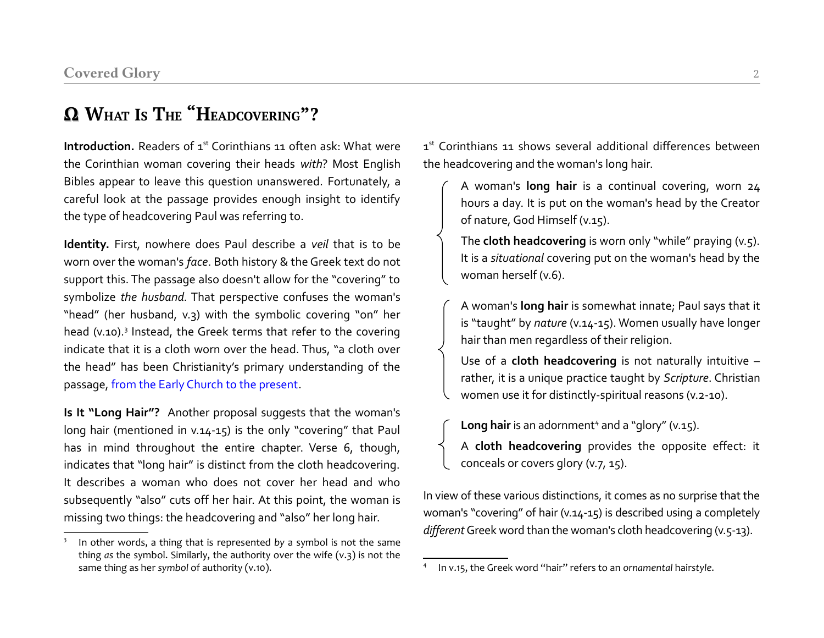## **Ω WHAT IS THE "HEADCOVERING"?**

**Introduction.** Readers of 1<sup>st</sup> Corinthians 11 often ask: What were the Corinthian woman covering their heads *with*? Most English Bibles appear to leave this question unanswered. Fortunately, a careful look at the passage provides enough insight to identify the type of headcovering Paul was referring to.

**Identity.** First, nowhere does Paul describe a *veil* that is to be worn over the woman's *face*. Both history & the Greek text do not support this. The passage also doesn't allow for the "covering" to symbolize *the husband.* That perspective confuses the woman's "head" (her husband, v.3) with the symbolic covering "on" her head (v.10).<sup>[3](#page-3-0)</sup> Instead, the Greek terms that refer to the covering indicate that it is a cloth worn over the head. Thus, "a cloth over the head" has been Christianity's primary understanding of the passage, [from the Early Church to the present.](http://www.amazon.com/Headcovering-Throughout-Christian-History-Corinthians-ebook/dp/B00MPAMJ2A/)

**Is It "Long Hair"?** Another proposal suggests that the woman's long hair (mentioned in v.14-15) is the only "covering" that Paul has in mind throughout the entire chapter. Verse 6, though, indicates that "long hair" is distinct from the cloth headcovering. It describes a woman who does not cover her head and who subsequently "also" cuts off her hair. At this point, the woman is missing two things: the headcovering and "also" her long hair.

1<sup>st</sup> Corinthians 11 shows several additional differences between the headcovering and the woman's long hair.

A woman's **long hair** is a continual covering, worn 24 hours a day. It is put on the woman's head by the Creator of nature, God Himself (v.15).

The **cloth headcovering** is worn only "while" praying (v.5). It is a *situational* covering put on the woman's head by the woman herself (v.6).

A woman's **long hair** is somewhat innate; Paul says that it is "taught" by *nature* (v.14-15). Women usually have longer hair than men regardless of their religion.

Use of a **cloth headcovering** is not naturally intuitive – rather, it is a unique practice taught by *Scripture*. Christian women use it for distinctly-spiritual reasons (v.2-10).

Long hair is an adornment<sup>[4](#page-3-1)</sup> and a "glory" (v.15).

A **cloth headcovering** provides the opposite effect: it conceals or covers glory (v.7, 15).

In view of these various distinctions, it comes as no surprise that the woman's "covering" of hair (v.14-15) is described using a completely *different* Greek word than the woman's cloth headcovering (v.5-13).

<span id="page-3-0"></span><sup>3</sup> In other words, a thing that is represented *by* a symbol is not the same thing *as* the symbol. Similarly, the authority over the wife (v.3) is not the same thing as her *symbol* of authority (v.10).

<span id="page-3-1"></span><sup>4</sup> In v.15, the Greek word "hair" refers to an *ornamental* hair*style*.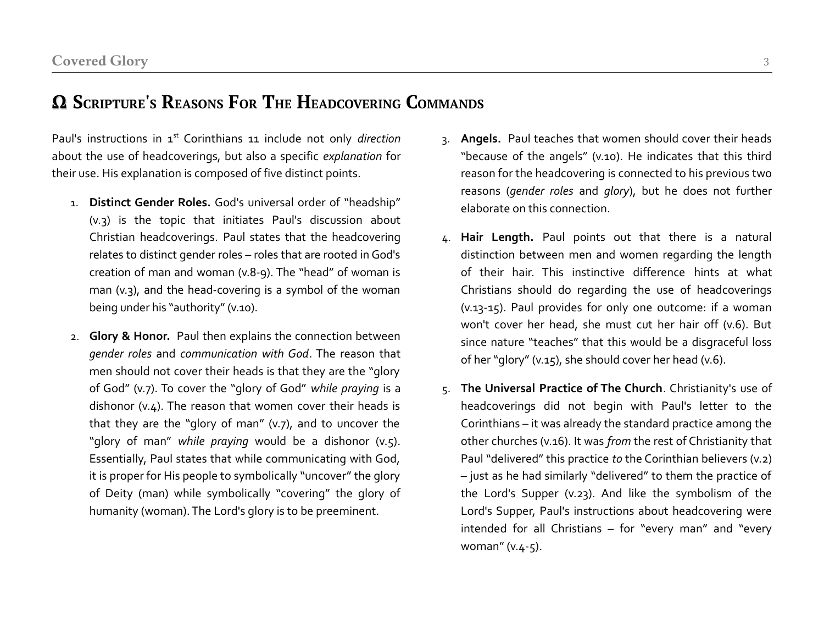## **Ω SCRIPTURE'S REASONS FOR THE HEADCOVERING COMMANDS**

Paul's instructions in 1<sup>st</sup> Corinthians 11 include not only *direction* about the use of headcoverings, but also a specific *explanation* for their use. His explanation is composed of five distinct points.

- 1. **Distinct Gender Roles.** God's universal order of "headship" (v.3) is the topic that initiates Paul's discussion about Christian headcoverings. Paul states that the headcovering relates to distinct gender roles – roles that are rooted in God's creation of man and woman (v.8-9). The "head" of woman is man (v.3), and the head-covering is a symbol of the woman being under his "authority" (v.10).
- 2. **Glory & Honor.** Paul then explains the connection between *gender roles* and *communication with God*. The reason that men should not cover their heads is that they are the "glory of God" (v.7). To cover the "glory of God" *while praying* is a dishonor (v.4). The reason that women cover their heads is that they are the "glory of man" (v.7), and to uncover the "glory of man" *while praying* would be a dishonor (v.5). Essentially, Paul states that while communicating with God, it is proper for His people to symbolically "uncover" the glory of Deity (man) while symbolically "covering" the glory of humanity (woman). The Lord's glory is to be preeminent.
- 3. **Angels.** Paul teaches that women should cover their heads "because of the angels" (v.10). He indicates that this third reason for the headcovering is connected to his previous two reasons (*gender roles* and *glory*), but he does not further elaborate on this connection.
- 4. **Hair Length.** Paul points out that there is a natural distinction between men and women regarding the length of their hair. This instinctive difference hints at what Christians should do regarding the use of headcoverings (v.13-15). Paul provides for only one outcome: if a woman won't cover her head, she must cut her hair off (v.6). But since nature "teaches" that this would be a disgraceful loss of her "glory" (v.15), she should cover her head (v.6).
- 5. **The Universal Practice of The Church**. Christianity's use of headcoverings did not begin with Paul's letter to the Corinthians – it was already the standard practice among the other churches (v.16). It was *from* the rest of Christianity that Paul "delivered" this practice *to* the Corinthian believers (v.2) – just as he had similarly "delivered" to them the practice of the Lord's Supper (v.23). And like the symbolism of the Lord's Supper, Paul's instructions about headcovering were intended for all Christians – for "every man" and "every woman" (v.4-5).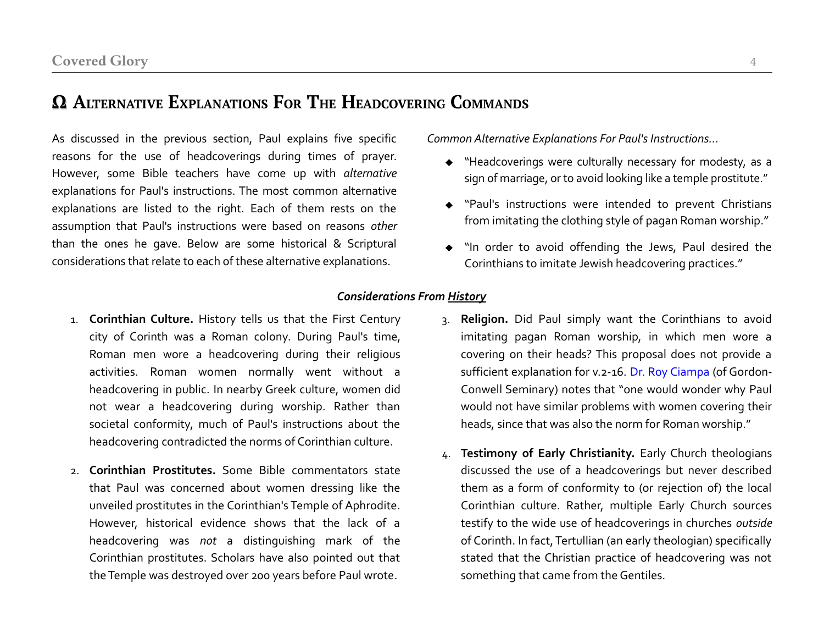## **Ω ALTERNATIVE EXPLANATIONS FOR THE HEADCOVERING COMMANDS**

As discussed in the previous section, Paul explains five specific reasons for the use of headcoverings during times of prayer. However, some Bible teachers have come up with *alternative* explanations for Paul's instructions. The most common alternative explanations are listed to the right. Each of them rests on the assumption that Paul's instructions were based on reasons *other* than the ones he gave. Below are some historical & Scriptural considerations that relate to each of these alternative explanations.

*Common Alternative Explanations For Paul's Instructions...*

- "Headcoverings were culturally necessary for modesty, as a sign of marriage, or to avoid looking like a temple prostitute."
- "Paul's instructions were intended to prevent Christians from imitating the clothing style of pagan Roman worship."
- "In order to avoid offending the Jews, Paul desired the Corinthians to imitate Jewish headcovering practices."

#### *Considerations From History*

- 1. **Corinthian Culture.** History tells us that the First Century city of Corinth was a Roman colony. During Paul's time, Roman men wore a headcovering during their religious activities. Roman women normally went without a headcovering in public. In nearby Greek culture, women did not wear a headcovering during worship. Rather than societal conformity, much of Paul's instructions about the headcovering contradicted the norms of Corinthian culture.
- 2. **Corinthian Prostitutes.** Some Bible commentators state that Paul was concerned about women dressing like the unveiled prostitutes in the Corinthian's Temple of Aphrodite. However, historical evidence shows that the lack of a headcovering was *not* a distinguishing mark of the Corinthian prostitutes. Scholars have also pointed out that the Temple was destroyed over 200 years before Paul wrote.
- 3. **Religion.** Did Paul simply want the Corinthians to avoid imitating pagan Roman worship, in which men wore a covering on their heads? This proposal does not provide a sufficient explanation for v.2-16. [Dr. Roy Ciampa](http://www.gordonconwell.edu/academics/view-faculty-member.cfm?faculty_id=15874&grp_id=8946) (of Gordon-Conwell Seminary) notes that "one would wonder why Paul would not have similar problems with women covering their heads, since that was also the norm for Roman worship."
- 4. **Testimony of Early Christianity.** Early Church theologians discussed the use of a headcoverings but never described them as a form of conformity to (or rejection of) the local Corinthian culture. Rather, multiple Early Church sources testify to the wide use of headcoverings in churches *outside* of Corinth. In fact, Tertullian (an early theologian) specifically stated that the Christian practice of headcovering was not something that came from the Gentiles.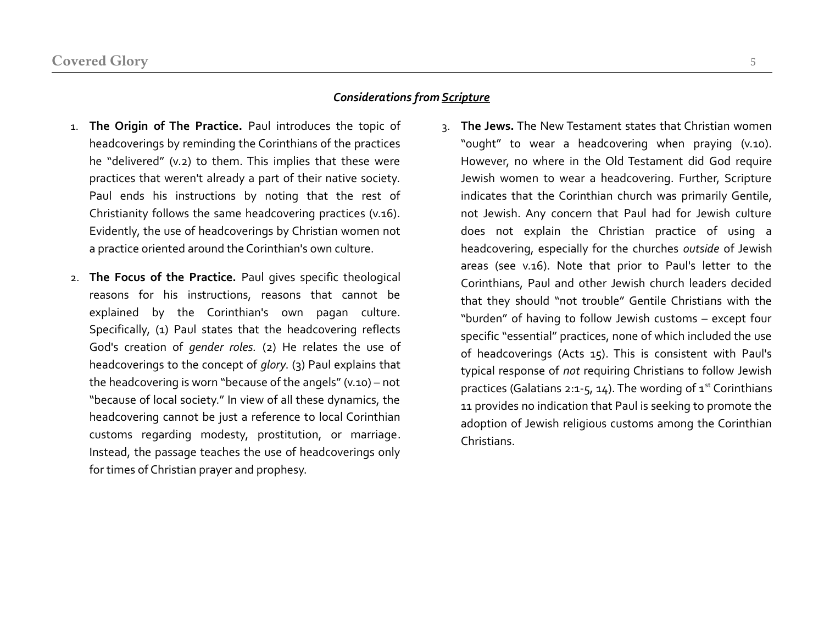#### *Considerations from Scripture*

- 1. **The Origin of The Practice.** Paul introduces the topic of headcoverings by reminding the Corinthians of the practices he "delivered" (v.2) to them. This implies that these were practices that weren't already a part of their native society. Paul ends his instructions by noting that the rest of Christianity follows the same headcovering practices (v.16). Evidently, the use of headcoverings by Christian women not a practice oriented around the Corinthian's own culture.
- 2. **The Focus of the Practice.** Paul gives specific theological reasons for his instructions, reasons that cannot be explained by the Corinthian's own pagan culture. Specifically, (1) Paul states that the headcovering reflects God's creation of *gender roles.* (2) He relates the use of headcoverings to the concept of *glory*. (3) Paul explains that the headcovering is worn "because of the angels" (v.10) – not "because of local society." In view of all these dynamics, the headcovering cannot be just a reference to local Corinthian customs regarding modesty, prostitution, or marriage. Instead, the passage teaches the use of headcoverings only for times of Christian prayer and prophesy.
- 3. **The Jews.** The New Testament states that Christian women "ought" to wear a headcovering when praying (v.10). However, no where in the Old Testament did God require Jewish women to wear a headcovering. Further, Scripture indicates that the Corinthian church was primarily Gentile, not Jewish. Any concern that Paul had for Jewish culture does not explain the Christian practice of using a headcovering, especially for the churches *outside* of Jewish areas (see v.16). Note that prior to Paul's letter to the Corinthians, Paul and other Jewish church leaders decided that they should "not trouble" Gentile Christians with the "burden" of having to follow Jewish customs – except four specific "essential" practices, none of which included the use of headcoverings (Acts 15). This is consistent with Paul's typical response of *not* requiring Christians to follow Jewish practices (Galatians 2:1-5, 14). The wording of  $1<sup>st</sup>$  Corinthians 11 provides no indication that Paul is seeking to promote the adoption of Jewish religious customs among the Corinthian Christians.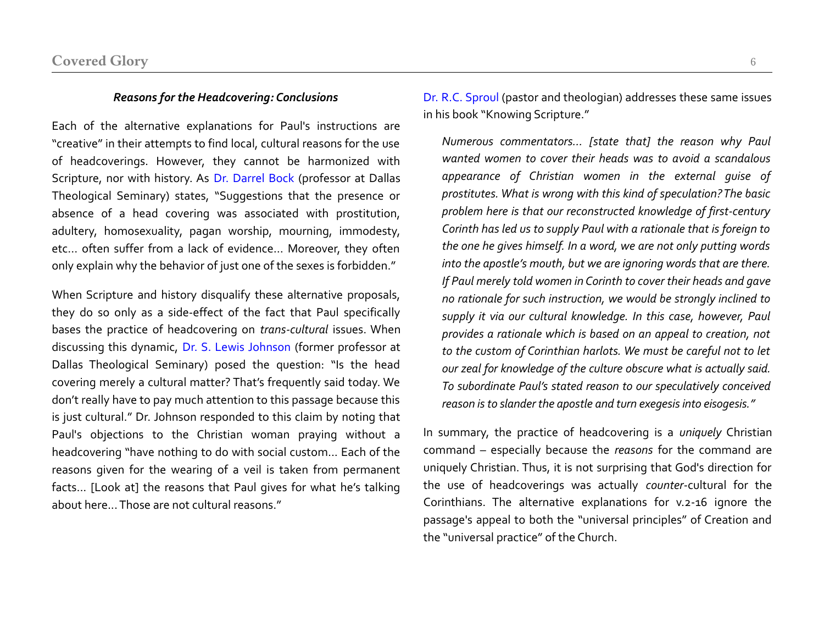#### *Reasons for the Headcovering: Conclusions*

Each of the alternative explanations for Paul's instructions are "creative" in their attempts to find local, cultural reasons for the use of headcoverings. However, they cannot be harmonized with Scripture, nor with history. As [Dr.](http://www.dts.edu/about/faculty/dbock/) [Darrel Bock](http://www.dts.edu/about/faculty/dbock/) (professor at Dallas Theological Seminary) states, "Suggestions that the presence or absence of a head covering was associated with prostitution, adultery, homosexuality, pagan worship, mourning, immodesty, etc... often suffer from a lack of evidence... Moreover, they often only explain why the behavior of just one of the sexes is forbidden."

When Scripture and history disqualify these alternative proposals, they do so only as a side-effect of the fact that Paul specifically bases the practice of headcovering on *trans-cultural* issues. When discussing this dynamic, [Dr. S. Lewis Johnson](http://www.theopedia.com/S_Lewis_Johnson) (former professor at Dallas Theological Seminary) posed the question: "Is the head covering merely a cultural matter? That's frequently said today. We don't really have to pay much attention to this passage because this is just cultural." Dr. Johnson responded to this claim by noting that Paul's objections to the Christian woman praying without a headcovering "have nothing to do with social custom... Each of the reasons given for the wearing of a veil is taken from permanent facts... [Look at] the reasons that Paul gives for what he's talking about here... Those are not cultural reasons."

[Dr. R.C. Sproul](http://www.ligonier.org/about/rc-sproul/) (pastor and theologian) addresses these same issues in his book "Knowing Scripture."

*Numerous commentators… [state that] the reason why Paul wanted women to cover their heads was to avoid a scandalous appearance of Christian women in the external guise of prostitutes. What is wrong with this kind of speculation? The basic problem here is that our reconstructed knowledge of first-century Corinth has led us to supply Paul with a rationale that is foreign to the one he gives himself. In a word, we are not only putting words into the apostle's mouth, but we are ignoring words that are there. If Paul merely told women in Corinth to cover their heads and gave no rationale for such instruction, we would be strongly inclined to supply it via our cultural knowledge. In this case, however, Paul provides a rationale which is based on an appeal to creation, not to the custom of Corinthian harlots. We must be careful not to let our zeal for knowledge of the culture obscure what is actually said. To subordinate Paul's stated reason to our speculatively conceived reason is to slander the apostle and turn exegesis into eisogesis."*

In summary, the practice of headcovering is a *uniquely* Christian command – especially because the *reasons* for the command are uniquely Christian. Thus, it is not surprising that God's direction for the use of headcoverings was actually *counter*-cultural for the Corinthians. The alternative explanations for v.2-16 ignore the passage's appeal to both the "universal principles" of Creation and the "universal practice" of the Church.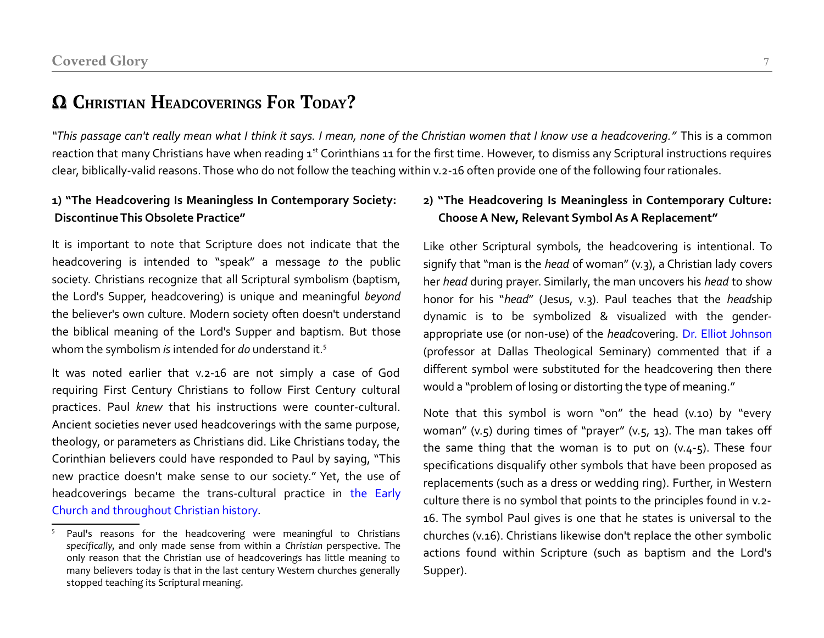## **Ω CHRISTIAN HEADCOVERINGS FOR TODAY?**

*"This passage can't really mean what I think it says. I mean, none of the Christian women that I know use a headcovering."* This is a common reaction that many Christians have when reading 1<sup>st</sup> Corinthians 11 for the first time. However, to dismiss any Scriptural instructions requires clear, biblically-valid reasons. Those who do not follow the teaching within v.2-16 often provide one of the following four rationales.

#### **1) "The Headcovering Is Meaningless In Contemporary Society: Discontinue This Obsolete Practice"**

It is important to note that Scripture does not indicate that the headcovering is intended to "speak" a message *to* the public society. Christians recognize that all Scriptural symbolism (baptism, the Lord's Supper, headcovering) is unique and meaningful *beyond* the believer's own culture. Modern society often doesn't understand the biblical meaning of the Lord's Supper and baptism. But those whom the symbolism *is* intended for *do* understand it.[5](#page-8-0)

It was noted earlier that v.2-16 are not simply a case of God requiring First Century Christians to follow First Century cultural practices. Paul *knew* that his instructions were counter-cultural. Ancient societies never used headcoverings with the same purpose, theology, or parameters as Christians did. Like Christians today, the Corinthian believers could have responded to Paul by saying, "This new practice doesn't make sense to our society." Yet, the use of headcoverings became the trans-cultural practice in [the Early](http://www.amazon.com/Headcovering-Throughout-Christian-History-Corinthians-ebook/dp/B00MPAMJ2A/) [Church and throughout Christian history.](http://www.amazon.com/Headcovering-Throughout-Christian-History-Corinthians-ebook/dp/B00MPAMJ2A/)

#### **2) "The Headcovering Is Meaningless in Contemporary Culture: Choose A New, Relevant Symbol As A Replacement"**

Like other Scriptural symbols, the headcovering is intentional. To signify that "man is the *head* of woman" (v.3), a Christian lady covers her *head* during prayer. Similarly, the man uncovers his *head* to show honor for his "*head*" (Jesus, v.3). Paul teaches that the *head*ship dynamic is to be symbolized & visualized with the genderappropriate use (or non-use) of the *head*covering. [Dr. Elliot Johnson](http://www.dts.edu/about/faculty/ejohnson/) (professor at Dallas Theological Seminary) commented that if a different symbol were substituted for the headcovering then there would a "problem of losing or distorting the type of meaning."

Note that this symbol is worn "on" the head (v.10) by "every woman" (v.5) during times of "prayer" (v.5, 13). The man takes off the same thing that the woman is to put on  $(v.4-5)$ . These four specifications disqualify other symbols that have been proposed as replacements (such as a dress or wedding ring). Further, in Western culture there is no symbol that points to the principles found in v.2- 16. The symbol Paul gives is one that he states is universal to the churches (v.16). Christians likewise don't replace the other symbolic actions found within Scripture (such as baptism and the Lord's Supper).

<span id="page-8-0"></span><sup>&</sup>lt;sup>5</sup> Paul's reasons for the headcovering were meaningful to Christians *specifically*, and only made sense from within a *Christian* perspective. The only reason that the Christian use of headcoverings has little meaning to many believers today is that in the last century Western churches generally stopped teaching its Scriptural meaning.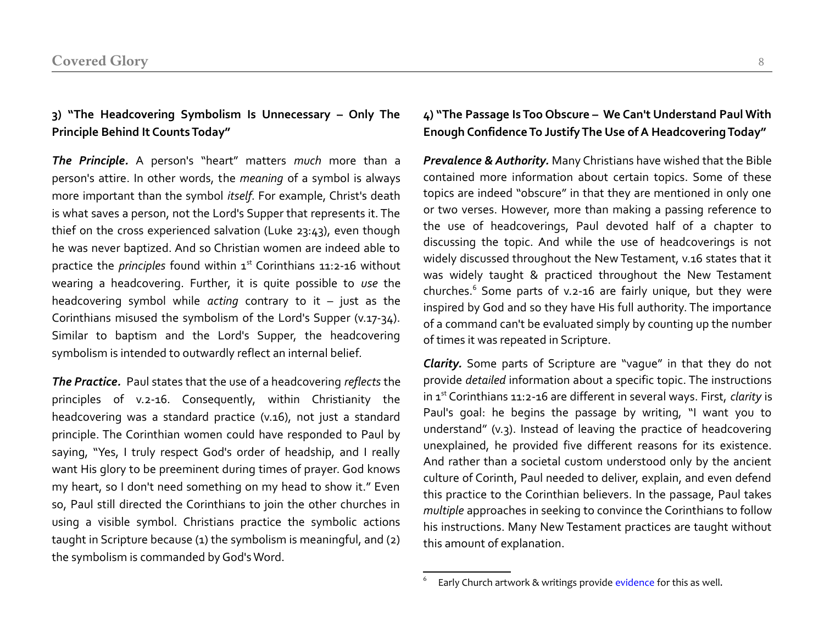#### **3) "The Headcovering Symbolism Is Unnecessary – Only The Principle Behind It Counts Today"**

*The Principle.* A person's "heart" matters *much* more than a person's attire. In other words, the *meaning* of a symbol is always more important than the symbol *itself*. For example, Christ's death is what saves a person, not the Lord's Supper that represents it. The thief on the cross experienced salvation (Luke 23:43), even though he was never baptized. And so Christian women are indeed able to practice the *principles* found within 1<sup>st</sup> Corinthians 11:2-16 without wearing a headcovering. Further, it is quite possible to *use* the headcovering symbol while *acting* contrary to it – just as the Corinthians misused the symbolism of the Lord's Supper (v.17-34). Similar to baptism and the Lord's Supper, the headcovering symbolism is intended to outwardly reflect an internal belief*.*

*The Practice.* Paul states that the use of a headcovering *reflects* the principles of v.2-16. Consequently, within Christianity the headcovering was a standard practice (v.16), not just a standard principle. The Corinthian women could have responded to Paul by saying, "Yes, I truly respect God's order of headship, and I really want His glory to be preeminent during times of prayer. God knows my heart, so I don't need something on my head to show it." Even so, Paul still directed the Corinthians to join the other churches in using a visible symbol. Christians practice the symbolic actions taught in Scripture because (1) the symbolism is meaningful, and (2) the symbolism is commanded by God's Word.

#### **4) "The Passage Is Too Obscure – We Can't Understand Paul With Enough Confidence To Justify The Use of A Headcovering Today"**

*Prevalence & Authority.* Many Christians have wished that the Bible contained more information about certain topics. Some of these topics are indeed "obscure" in that they are mentioned in only one or two verses. However, more than making a passing reference to the use of headcoverings, Paul devoted half of a chapter to discussing the topic. And while the use of headcoverings is not widely discussed throughout the New Testament, v.16 states that it was widely taught & practiced throughout the New Testament churches.<sup>[6](#page-9-0)</sup> Some parts of v.2-16 are fairly unique, but they were inspired by God and so they have His full authority. The importance of a command can't be evaluated simply by counting up the number of times it was repeated in Scripture.

*Clarity.* Some parts of Scripture are "vague" in that they do not provide *detailed* information about a specific topic. The instructions in 1<sup>st</sup> Corinthians 11:2-16 are different in several ways. First, *clarity* is Paul's goal: he begins the passage by writing, "I want you to understand" (v.3). Instead of leaving the practice of headcovering unexplained, he provided five different reasons for its existence. And rather than a societal custom understood only by the ancient culture of Corinth, Paul needed to deliver, explain, and even defend this practice to the Corinthian believers. In the passage, Paul takes *multiple* approaches in seeking to convince the Corinthians to follow his instructions. Many New Testament practices are taught without this amount of explanation.

<span id="page-9-0"></span><sup>6</sup> Early Church artwork & writings provide [evidence](http://www.amazon.com/Headcovering-Throughout-Christian-History-Corinthians-ebook/dp/B00MPAMJ2A/) for this as well.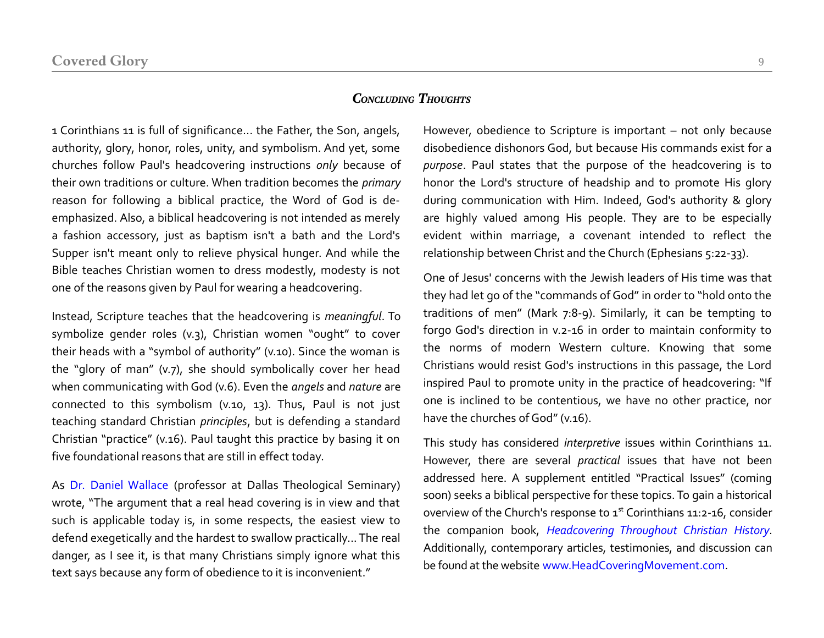#### *CONCLUDING THOUGHTS*

1 Corinthians 11 is full of significance... the Father, the Son, angels, authority, glory, honor, roles, unity, and symbolism. And yet, some churches follow Paul's headcovering instructions *only* because of their own traditions or culture. When tradition becomes the *primary* reason for following a biblical practice, the Word of God is deemphasized. Also, a biblical headcovering is not intended as merely a fashion accessory, just as baptism isn't a bath and the Lord's Supper isn't meant only to relieve physical hunger. And while the Bible teaches Christian women to dress modestly, modesty is not one of the reasons given by Paul for wearing a headcovering.

Instead, Scripture teaches that the headcovering is *meaningful*. To symbolize gender roles (v.3), Christian women "ought" to cover their heads with a "symbol of authority" (v.10). Since the woman is the "glory of man" (v.7), she should symbolically cover her head when communicating with God (v.6). Even the *angels* and *nature* are connected to this symbolism (v.10, 13). Thus, Paul is not just teaching standard Christian *principles*, but is defending a standard Christian "practice" (v.16). Paul taught this practice by basing it on five foundational reasons that are still in effect today.

As [Dr. Daniel Wallace](http://www.dts.edu/about/faculty/dwallace/) (professor at Dallas Theological Seminary) wrote, "The argument that a real head covering is in view and that such is applicable today is, in some respects, the easiest view to defend exegetically and the hardest to swallow practically... The real danger, as I see it, is that many Christians simply ignore what this text says because any form of obedience to it is inconvenient."

However, obedience to Scripture is important – not only because disobedience dishonors God, but because His commands exist for a *purpose*. Paul states that the purpose of the headcovering is to honor the Lord's structure of headship and to promote His glory during communication with Him. Indeed, God's authority & glory are highly valued among His people. They are to be especially evident within marriage, a covenant intended to reflect the relationship between Christ and the Church (Ephesians 5:22-33).

One of Jesus' concerns with the Jewish leaders of His time was that they had let go of the "commands of God" in order to "hold onto the traditions of men" (Mark 7:8-9). Similarly, it can be tempting to forgo God's direction in v.2-16 in order to maintain conformity to the norms of modern Western culture. Knowing that some Christians would resist God's instructions in this passage, the Lord inspired Paul to promote unity in the practice of headcovering: "If one is inclined to be contentious, we have no other practice, nor have the churches of God" (v.16).

This study has considered *interpretive* issues within Corinthians 11. However, there are several *practical* issues that have not been addressed here. A supplement entitled "Practical Issues" (coming soon) seeks a biblical perspective for these topics. To gain a historical overview of the Church's response to 1st Corinthians 11:2-16, consider the companion book, *[Headcovering Throughout Christian History](http://www.amazon.com/Headcovering-Throughout-Christian-History-Corinthians-ebook/dp/B00MPAMJ2A/)*. Additionally, contemporary articles, testimonies, and discussion can be found at the website [www.HeadCoveringMovement.com.](http://www.HeadCoveringMovement.com/)